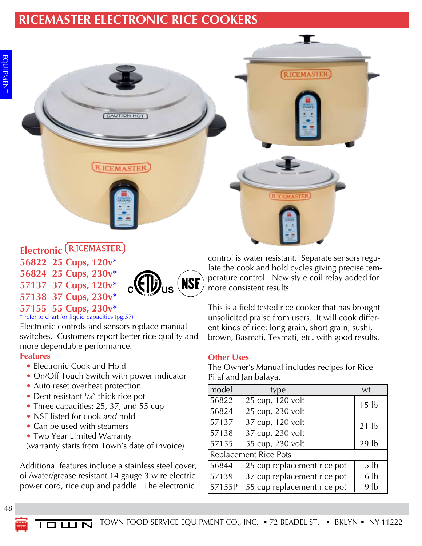# **RICEMASTER ELECTRONIC RICE COOKERS**

**CAUTION-HOT** 

**RICEMASTER** 

**RICEMASTER** 

# Electronic (RICEMASTER)

**56822 25 Cups, 120v\***

- **56824 25 Cups, 230v\***
- **57137 37 Cups, 120v\***





**57155 55 Cups, 230v\*** \* refer to chart for liquid capacities (pg.57)

Electronic controls and sensors replace manual switches. Customers report better rice quality and more dependable performance.

#### **Features**

- Electronic Cook and Hold
- On/Off Touch Switch with power indicator
- Auto reset overheat protection
- Dent resistant  $\frac{1}{8}$ " thick rice pot
- Three capacities: 25, 37, and 55 cup
- NSF listed for cook *and* hold
- Can be used with steamers
- Two Year Limited Warranty

(warranty starts from Town's date of invoice)

Additional features include a stainless steel cover, oil/water/grease resistant 14 gauge 3 wire electric power cord, rice cup and paddle. The electronic

control is water resistant. Separate sensors regulate the cook and hold cycles giving precise temperature control. New style coil relay added for more consistent results.

T

**RICEMASTER** 

This is a field tested rice cooker that has brought unsolicited praise from users. It will cook different kinds of rice: long grain, short grain, sushi, brown, Basmati, Texmati, etc. with good results.

## **Other Uses**

The Owner's Manual includes recipes for Rice Pilaf and Jambalaya.

| model                        | type                        | wt               |  |  |  |
|------------------------------|-----------------------------|------------------|--|--|--|
| 56822                        | 25 cup, 120 volt            | 15 <sub>lb</sub> |  |  |  |
| 56824                        | 25 cup, 230 volt            |                  |  |  |  |
| 57137                        | 37 cup, 120 volt            | $21$ lb          |  |  |  |
| 57138                        | 37 cup, 230 volt            |                  |  |  |  |
| 57155                        | 55 cup, 230 volt            | 29 <sub>lb</sub> |  |  |  |
| <b>Replacement Rice Pots</b> |                             |                  |  |  |  |
| 56844                        | 25 cup replacement rice pot | 5 <sub>lb</sub>  |  |  |  |
| 57139                        | 37 cup replacement rice pot | 6 <sub>1b</sub>  |  |  |  |
| 57155P                       | 55 cup replacement rice pot | 9 <sub>lb</sub>  |  |  |  |